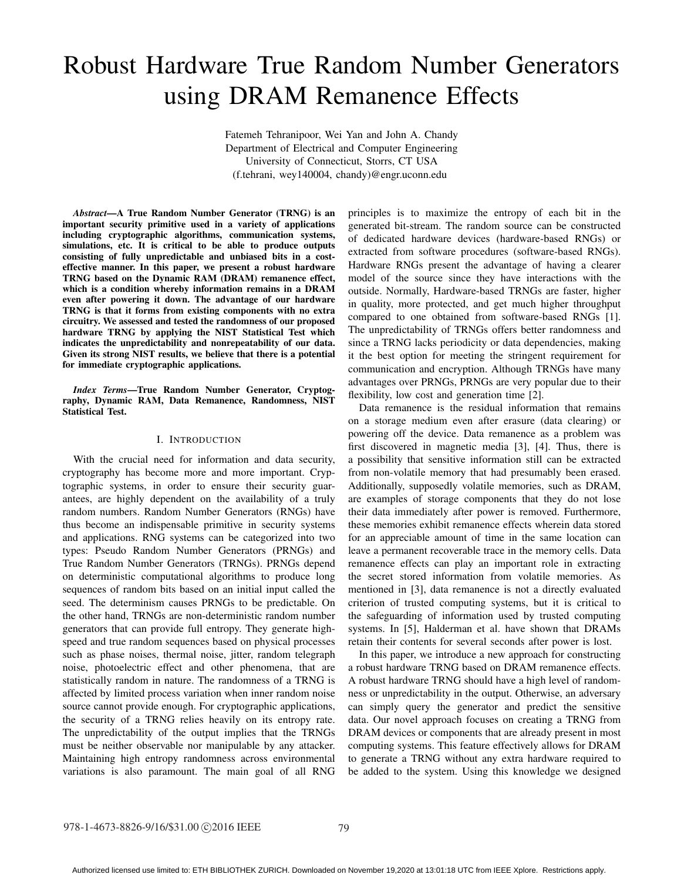# Robust Hardware True Random Number Generators using DRAM Remanence Effects

Fatemeh Tehranipoor, Wei Yan and John A. Chandy Department of Electrical and Computer Engineering University of Connecticut, Storrs, CT USA (f.tehrani, wey140004, chandy)@engr.uconn.edu

*Abstract*—A True Random Number Generator (TRNG) is an important security primitive used in a variety of applications including cryptographic algorithms, communication systems, simulations, etc. It is critical to be able to produce outputs consisting of fully unpredictable and unbiased bits in a costeffective manner. In this paper, we present a robust hardware TRNG based on the Dynamic RAM (DRAM) remanence effect, which is a condition whereby information remains in a DRAM even after powering it down. The advantage of our hardware TRNG is that it forms from existing components with no extra circuitry. We assessed and tested the randomness of our proposed hardware TRNG by applying the NIST Statistical Test which indicates the unpredictability and nonrepeatability of our data. Given its strong NIST results, we believe that there is a potential for immediate cryptographic applications.

*Index Terms*—True Random Number Generator, Cryptography, Dynamic RAM, Data Remanence, Randomness, NIST Statistical Test.

# I. INTRODUCTION

With the crucial need for information and data security, cryptography has become more and more important. Cryptographic systems, in order to ensure their security guarantees, are highly dependent on the availability of a truly random numbers. Random Number Generators (RNGs) have thus become an indispensable primitive in security systems and applications. RNG systems can be categorized into two types: Pseudo Random Number Generators (PRNGs) and True Random Number Generators (TRNGs). PRNGs depend on deterministic computational algorithms to produce long sequences of random bits based on an initial input called the seed. The determinism causes PRNGs to be predictable. On the other hand, TRNGs are non-deterministic random number generators that can provide full entropy. They generate highspeed and true random sequences based on physical processes such as phase noises, thermal noise, jitter, random telegraph noise, photoelectric effect and other phenomena, that are statistically random in nature. The randomness of a TRNG is affected by limited process variation when inner random noise source cannot provide enough. For cryptographic applications, the security of a TRNG relies heavily on its entropy rate. The unpredictability of the output implies that the TRNGs must be neither observable nor manipulable by any attacker. Maintaining high entropy randomness across environmental variations is also paramount. The main goal of all RNG principles is to maximize the entropy of each bit in the generated bit-stream. The random source can be constructed of dedicated hardware devices (hardware-based RNGs) or extracted from software procedures (software-based RNGs). Hardware RNGs present the advantage of having a clearer model of the source since they have interactions with the outside. Normally, Hardware-based TRNGs are faster, higher in quality, more protected, and get much higher throughput compared to one obtained from software-based RNGs [1]. The unpredictability of TRNGs offers better randomness and since a TRNG lacks periodicity or data dependencies, making it the best option for meeting the stringent requirement for communication and encryption. Although TRNGs have many advantages over PRNGs, PRNGs are very popular due to their flexibility, low cost and generation time [2].

Data remanence is the residual information that remains on a storage medium even after erasure (data clearing) or powering off the device. Data remanence as a problem was first discovered in magnetic media [3], [4]. Thus, there is a possibility that sensitive information still can be extracted from non-volatile memory that had presumably been erased. Additionally, supposedly volatile memories, such as DRAM, are examples of storage components that they do not lose their data immediately after power is removed. Furthermore, these memories exhibit remanence effects wherein data stored for an appreciable amount of time in the same location can leave a permanent recoverable trace in the memory cells. Data remanence effects can play an important role in extracting the secret stored information from volatile memories. As mentioned in [3], data remanence is not a directly evaluated criterion of trusted computing systems, but it is critical to the safeguarding of information used by trusted computing systems. In [5], Halderman et al. have shown that DRAMs retain their contents for several seconds after power is lost.

In this paper, we introduce a new approach for constructing a robust hardware TRNG based on DRAM remanence effects. A robust hardware TRNG should have a high level of randomness or unpredictability in the output. Otherwise, an adversary can simply query the generator and predict the sensitive data. Our novel approach focuses on creating a TRNG from DRAM devices or components that are already present in most computing systems. This feature effectively allows for DRAM to generate a TRNG without any extra hardware required to be added to the system. Using this knowledge we designed

# 978-1-4673-8826-9/16/\$31.00 © 2016 IEEE 79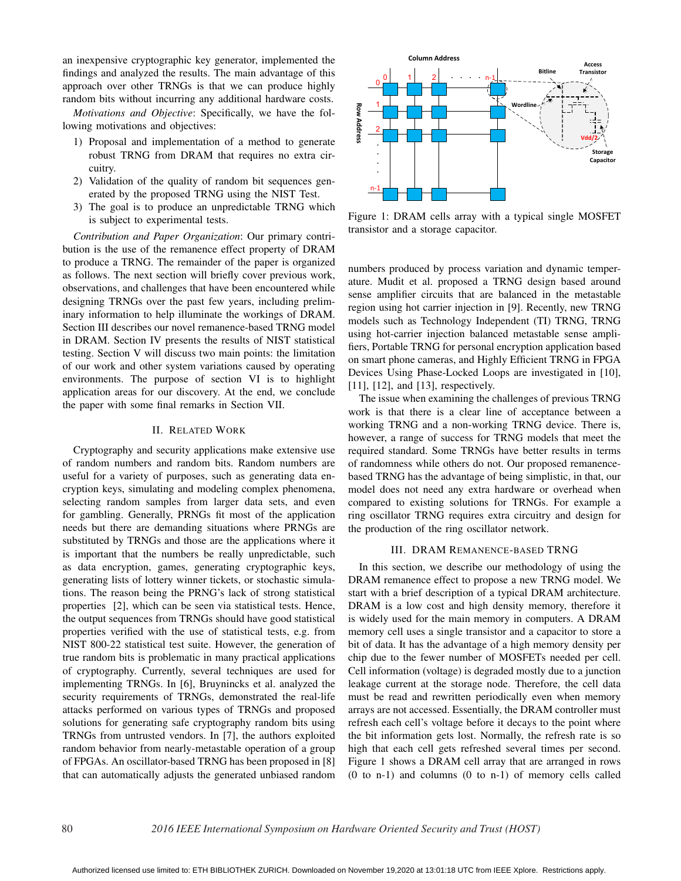an inexpensive cryptographic key generator, implemented the findings and analyzed the results. The main advantage of this approach over other TRNGs is that we can produce highly random bits without incurring any additional hardware costs.

*Motivations and Objective*: Specifically, we have the following motivations and objectives:

- 1) Proposal and implementation of a method to generate robust TRNG from DRAM that requires no extra circuitry.
- 2) Validation of the quality of random bit sequences generated by the proposed TRNG using the NIST Test.
- 3) The goal is to produce an unpredictable TRNG which is subject to experimental tests.

*Contribution and Paper Organization*: Our primary contribution is the use of the remanence effect property of DRAM to produce a TRNG. The remainder of the paper is organized as follows. The next section will briefly cover previous work, observations, and challenges that have been encountered while designing TRNGs over the past few years, including preliminary information to help illuminate the workings of DRAM. Section III describes our novel remanence-based TRNG model in DRAM. Section IV presents the results of NIST statistical testing. Section V will discuss two main points: the limitation of our work and other system variations caused by operating environments. The purpose of section VI is to highlight application areas for our discovery. At the end, we conclude the paper with some final remarks in Section VII.

## II. RELATED WORK

Cryptography and security applications make extensive use of random numbers and random bits. Random numbers are useful for a variety of purposes, such as generating data encryption keys, simulating and modeling complex phenomena, selecting random samples from larger data sets, and even for gambling. Generally, PRNGs fit most of the application needs but there are demanding situations where PRNGs are substituted by TRNGs and those are the applications where it is important that the numbers be really unpredictable, such as data encryption, games, generating cryptographic keys, generating lists of lottery winner tickets, or stochastic simulations. The reason being the PRNG's lack of strong statistical properties [2], which can be seen via statistical tests. Hence, the output sequences from TRNGs should have good statistical properties verified with the use of statistical tests, e.g. from NIST 800-22 statistical test suite. However, the generation of true random bits is problematic in many practical applications of cryptography. Currently, several techniques are used for implementing TRNGs. In [6], Bruynincks et al. analyzed the security requirements of TRNGs, demonstrated the real-life attacks performed on various types of TRNGs and proposed solutions for generating safe cryptography random bits using TRNGs from untrusted vendors. In [7], the authors exploited random behavior from nearly-metastable operation of a group of FPGAs. An oscillator-based TRNG has been proposed in [8] that can automatically adjusts the generated unbiased random



Figure 1: DRAM cells array with a typical single MOSFET transistor and a storage capacitor.

numbers produced by process variation and dynamic temperature. Mudit et al. proposed a TRNG design based around sense amplifier circuits that are balanced in the metastable region using hot carrier injection in [9]. Recently, new TRNG models such as Technology Independent (TI) TRNG, TRNG using hot-carrier injection balanced metastable sense amplifiers, Portable TRNG for personal encryption application based on smart phone cameras, and Highly Efficient TRNG in FPGA Devices Using Phase-Locked Loops are investigated in [10], [11], [12], and [13], respectively.

The issue when examining the challenges of previous TRNG work is that there is a clear line of acceptance between a working TRNG and a non-working TRNG device. There is, however, a range of success for TRNG models that meet the required standard. Some TRNGs have better results in terms of randomness while others do not. Our proposed remanencebased TRNG has the advantage of being simplistic, in that, our model does not need any extra hardware or overhead when compared to existing solutions for TRNGs. For example a ring oscillator TRNG requires extra circuitry and design for the production of the ring oscillator network.

# III. DRAM REMANENCE-BASED TRNG

In this section, we describe our methodology of using the DRAM remanence effect to propose a new TRNG model. We start with a brief description of a typical DRAM architecture. DRAM is a low cost and high density memory, therefore it is widely used for the main memory in computers. A DRAM memory cell uses a single transistor and a capacitor to store a bit of data. It has the advantage of a high memory density per chip due to the fewer number of MOSFETs needed per cell. Cell information (voltage) is degraded mostly due to a junction leakage current at the storage node. Therefore, the cell data must be read and rewritten periodically even when memory arrays are not accessed. Essentially, the DRAM controller must refresh each cell's voltage before it decays to the point where the bit information gets lost. Normally, the refresh rate is so high that each cell gets refreshed several times per second. Figure 1 shows a DRAM cell array that are arranged in rows (0 to n-1) and columns (0 to n-1) of memory cells called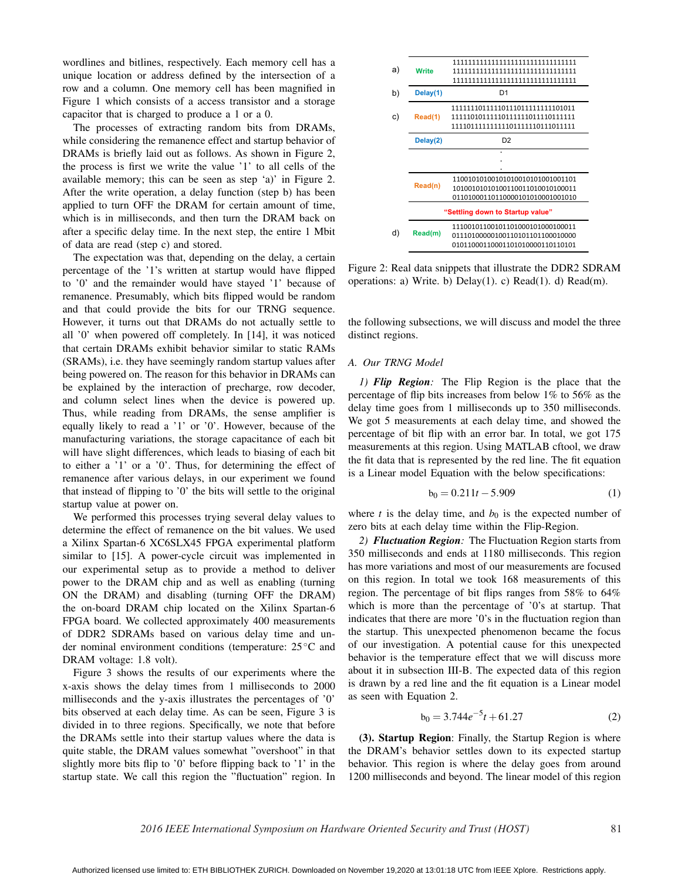wordlines and bitlines, respectively. Each memory cell has a unique location or address defined by the intersection of a row and a column. One memory cell has been magnified in Figure 1 which consists of a access transistor and a storage capacitor that is charged to produce a 1 or a 0.

The processes of extracting random bits from DRAMs, while considering the remanence effect and startup behavior of DRAMs is briefly laid out as follows. As shown in Figure 2, the process is first we write the value '1' to all cells of the available memory; this can be seen as step 'a)' in Figure 2. After the write operation, a delay function (step b) has been applied to turn OFF the DRAM for certain amount of time, which is in milliseconds, and then turn the DRAM back on after a specific delay time. In the next step, the entire 1 Mbit of data are read (step c) and stored.

The expectation was that, depending on the delay, a certain percentage of the '1's written at startup would have flipped to '0' and the remainder would have stayed '1' because of remanence. Presumably, which bits flipped would be random and that could provide the bits for our TRNG sequence. However, it turns out that DRAMs do not actually settle to all '0' when powered off completely. In [14], it was noticed that certain DRAMs exhibit behavior similar to static RAMs (SRAMs), i.e. they have seemingly random startup values after being powered on. The reason for this behavior in DRAMs can be explained by the interaction of precharge, row decoder, and column select lines when the device is powered up. Thus, while reading from DRAMs, the sense amplifier is equally likely to read a '1' or '0'. However, because of the manufacturing variations, the storage capacitance of each bit will have slight differences, which leads to biasing of each bit to either a '1' or a '0'. Thus, for determining the effect of remanence after various delays, in our experiment we found that instead of flipping to '0' the bits will settle to the original startup value at power on.

We performed this processes trying several delay values to determine the effect of remanence on the bit values. We used a Xilinx Spartan-6 XC6SLX45 FPGA experimental platform similar to [15]. A power-cycle circuit was implemented in our experimental setup as to provide a method to deliver power to the DRAM chip and as well as enabling (turning ON the DRAM) and disabling (turning OFF the DRAM) the on-board DRAM chip located on the Xilinx Spartan-6 FPGA board. We collected approximately 400 measurements of DDR2 SDRAMs based on various delay time and under nominal environment conditions (temperature: 25◦C and DRAM voltage: 1.8 volt).

Figure 3 shows the results of our experiments where the x-axis shows the delay times from 1 milliseconds to 2000 milliseconds and the y-axis illustrates the percentages of '0' bits observed at each delay time. As can be seen, Figure 3 is divided in to three regions. Specifically, we note that before the DRAMs settle into their startup values where the data is quite stable, the DRAM values somewhat "overshoot" in that slightly more bits flip to '0' before flipping back to '1' in the startup state. We call this region the "fluctuation" region. In



Figure 2: Real data snippets that illustrate the DDR2 SDRAM operations: a) Write. b) Delay(1). c) Read(1). d) Read(m).

the following subsections, we will discuss and model the three distinct regions.

## *A. Our TRNG Model*

*1) Flip Region:* The Flip Region is the place that the percentage of flip bits increases from below 1% to 56% as the delay time goes from 1 milliseconds up to 350 milliseconds. We got 5 measurements at each delay time, and showed the percentage of bit flip with an error bar. In total, we got 175 measurements at this region. Using MATLAB cftool, we draw the fit data that is represented by the red line. The fit equation is a Linear model Equation with the below specifications:

$$
b_0 = 0.211t - 5.909\tag{1}
$$

where  $t$  is the delay time, and  $b_0$  is the expected number of zero bits at each delay time within the Flip-Region.

*2) Fluctuation Region:* The Fluctuation Region starts from 350 milliseconds and ends at 1180 milliseconds. This region has more variations and most of our measurements are focused on this region. In total we took 168 measurements of this region. The percentage of bit flips ranges from 58% to 64% which is more than the percentage of '0's at startup. That indicates that there are more '0's in the fluctuation region than the startup. This unexpected phenomenon became the focus of our investigation. A potential cause for this unexpected behavior is the temperature effect that we will discuss more about it in subsection III-B. The expected data of this region is drawn by a red line and the fit equation is a Linear model as seen with Equation 2.

$$
b_0 = 3.744e^{-5}t + 61.27
$$
 (2)

(3). Startup Region: Finally, the Startup Region is where the DRAM's behavior settles down to its expected startup behavior. This region is where the delay goes from around 1200 milliseconds and beyond. The linear model of this region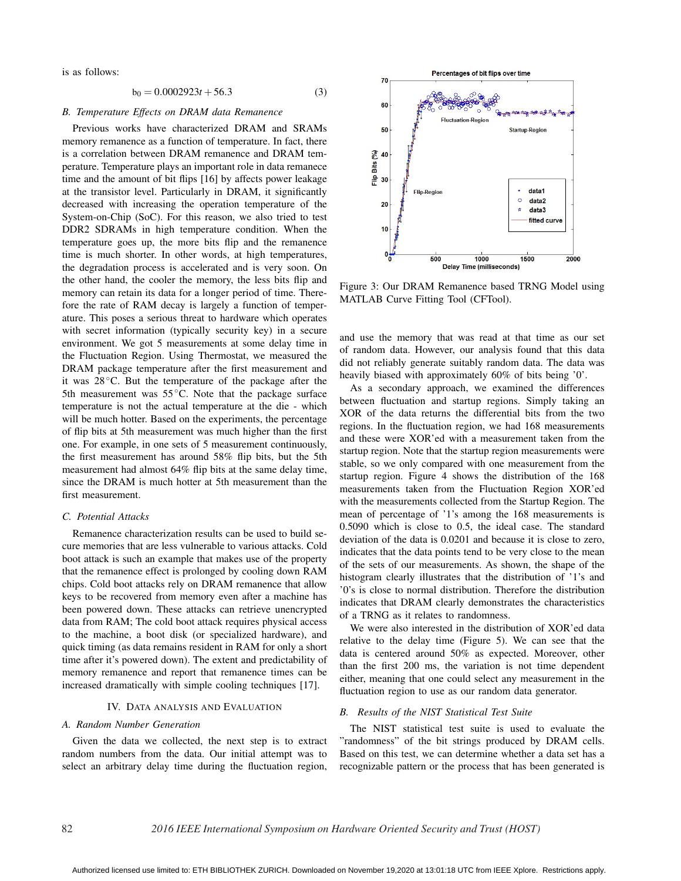is as follows:

$$
b_0 = 0.0002923t + 56.3
$$
 (3)

# *B. Temperature Effects on DRAM data Remanence*

Previous works have characterized DRAM and SRAMs memory remanence as a function of temperature. In fact, there is a correlation between DRAM remanence and DRAM temperature. Temperature plays an important role in data remanece time and the amount of bit flips [16] by affects power leakage at the transistor level. Particularly in DRAM, it significantly decreased with increasing the operation temperature of the System-on-Chip (SoC). For this reason, we also tried to test DDR2 SDRAMs in high temperature condition. When the temperature goes up, the more bits flip and the remanence time is much shorter. In other words, at high temperatures, the degradation process is accelerated and is very soon. On the other hand, the cooler the memory, the less bits flip and memory can retain its data for a longer period of time. Therefore the rate of RAM decay is largely a function of temperature. This poses a serious threat to hardware which operates with secret information (typically security key) in a secure environment. We got 5 measurements at some delay time in the Fluctuation Region. Using Thermostat, we measured the DRAM package temperature after the first measurement and it was 28◦C. But the temperature of the package after the 5th measurement was 55 °C. Note that the package surface temperature is not the actual temperature at the die - which will be much hotter. Based on the experiments, the percentage of flip bits at 5th measurement was much higher than the first one. For example, in one sets of 5 measurement continuously, the first measurement has around 58% flip bits, but the 5th measurement had almost 64% flip bits at the same delay time, since the DRAM is much hotter at 5th measurement than the first measurement.

#### *C. Potential Attacks*

Remanence characterization results can be used to build secure memories that are less vulnerable to various attacks. Cold boot attack is such an example that makes use of the property that the remanence effect is prolonged by cooling down RAM chips. Cold boot attacks rely on DRAM remanence that allow keys to be recovered from memory even after a machine has been powered down. These attacks can retrieve unencrypted data from RAM; The cold boot attack requires physical access to the machine, a boot disk (or specialized hardware), and quick timing (as data remains resident in RAM for only a short time after it's powered down). The extent and predictability of memory remanence and report that remanence times can be increased dramatically with simple cooling techniques [17].

#### IV. DATA ANALYSIS AND EVALUATION

#### *A. Random Number Generation*

Given the data we collected, the next step is to extract random numbers from the data. Our initial attempt was to select an arbitrary delay time during the fluctuation region,



Figure 3: Our DRAM Remanence based TRNG Model using MATLAB Curve Fitting Tool (CFTool).

and use the memory that was read at that time as our set of random data. However, our analysis found that this data did not reliably generate suitably random data. The data was heavily biased with approximately 60% of bits being '0'.

As a secondary approach, we examined the differences between fluctuation and startup regions. Simply taking an XOR of the data returns the differential bits from the two regions. In the fluctuation region, we had 168 measurements and these were XOR'ed with a measurement taken from the startup region. Note that the startup region measurements were stable, so we only compared with one measurement from the startup region. Figure 4 shows the distribution of the 168 measurements taken from the Fluctuation Region XOR'ed with the measurements collected from the Startup Region. The mean of percentage of '1's among the 168 measurements is 0.5090 which is close to 0.5, the ideal case. The standard deviation of the data is 0.0201 and because it is close to zero, indicates that the data points tend to be very close to the mean of the sets of our measurements. As shown, the shape of the histogram clearly illustrates that the distribution of '1's and '0's is close to normal distribution. Therefore the distribution indicates that DRAM clearly demonstrates the characteristics of a TRNG as it relates to randomness.

We were also interested in the distribution of XOR'ed data relative to the delay time (Figure 5). We can see that the data is centered around 50% as expected. Moreover, other than the first 200 ms, the variation is not time dependent either, meaning that one could select any measurement in the fluctuation region to use as our random data generator.

# *B. Results of the NIST Statistical Test Suite*

The NIST statistical test suite is used to evaluate the "randomness" of the bit strings produced by DRAM cells. Based on this test, we can determine whether a data set has a recognizable pattern or the process that has been generated is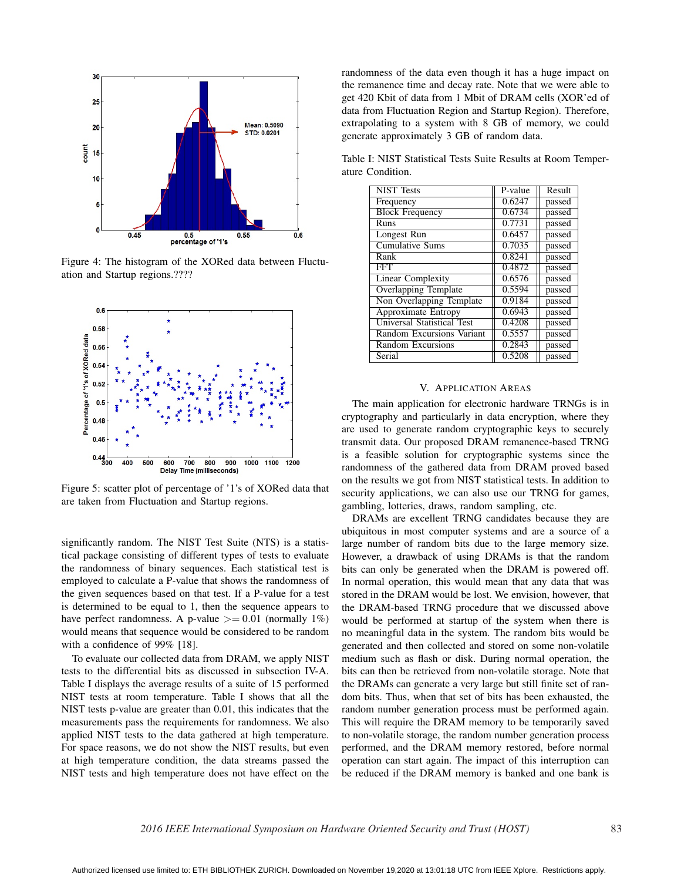

Figure 4: The histogram of the XORed data between Fluctuation and Startup regions.????



Figure 5: scatter plot of percentage of '1's of XORed data that are taken from Fluctuation and Startup regions.

significantly random. The NIST Test Suite (NTS) is a statistical package consisting of different types of tests to evaluate the randomness of binary sequences. Each statistical test is employed to calculate a P-value that shows the randomness of the given sequences based on that test. If a P-value for a test is determined to be equal to 1, then the sequence appears to have perfect randomness. A p-value  $\ge$  = 0.01 (normally 1%) would means that sequence would be considered to be random with a confidence of 99% [18].

To evaluate our collected data from DRAM, we apply NIST tests to the differential bits as discussed in subsection IV-A. Table I displays the average results of a suite of 15 performed NIST tests at room temperature. Table I shows that all the NIST tests p-value are greater than 0.01, this indicates that the measurements pass the requirements for randomness. We also applied NIST tests to the data gathered at high temperature. For space reasons, we do not show the NIST results, but even at high temperature condition, the data streams passed the NIST tests and high temperature does not have effect on the randomness of the data even though it has a huge impact on the remanence time and decay rate. Note that we were able to get 420 Kbit of data from 1 Mbit of DRAM cells (XOR'ed of data from Fluctuation Region and Startup Region). Therefore, extrapolating to a system with 8 GB of memory, we could generate approximately 3 GB of random data.

Table I: NIST Statistical Tests Suite Results at Room Temperature Condition.

| <b>NIST Tests</b>                 | P-value | Result |
|-----------------------------------|---------|--------|
| Frequency                         | 0.6247  | passed |
| <b>Block Frequency</b>            | 0.6734  | passed |
| Runs                              | 0.7731  | passed |
| Longest Run                       | 0.6457  | passed |
| <b>Cumulative Sums</b>            | 0.7035  | passed |
| Rank                              | 0.8241  | passed |
| <b>FFT</b>                        | 0.4872  | passed |
| Linear Complexity                 | 0.6576  | passed |
| <b>Overlapping Template</b>       | 0.5594  | passed |
| Non Overlapping Template          | 0.9184  | passed |
| Approximate Entropy               | 0.6943  | passed |
| <b>Universal Statistical Test</b> | 0.4208  | passed |
| Random Excursions Variant         | 0.5557  | passed |
| Random Excursions                 | 0.2843  | passed |
| Serial                            | 0.5208  | passed |

#### V. APPLICATION AREAS

The main application for electronic hardware TRNGs is in cryptography and particularly in data encryption, where they are used to generate random cryptographic keys to securely transmit data. Our proposed DRAM remanence-based TRNG is a feasible solution for cryptographic systems since the randomness of the gathered data from DRAM proved based on the results we got from NIST statistical tests. In addition to security applications, we can also use our TRNG for games, gambling, lotteries, draws, random sampling, etc.

DRAMs are excellent TRNG candidates because they are ubiquitous in most computer systems and are a source of a large number of random bits due to the large memory size. However, a drawback of using DRAMs is that the random bits can only be generated when the DRAM is powered off. In normal operation, this would mean that any data that was stored in the DRAM would be lost. We envision, however, that the DRAM-based TRNG procedure that we discussed above would be performed at startup of the system when there is no meaningful data in the system. The random bits would be generated and then collected and stored on some non-volatile medium such as flash or disk. During normal operation, the bits can then be retrieved from non-volatile storage. Note that the DRAMs can generate a very large but still finite set of random bits. Thus, when that set of bits has been exhausted, the random number generation process must be performed again. This will require the DRAM memory to be temporarily saved to non-volatile storage, the random number generation process performed, and the DRAM memory restored, before normal operation can start again. The impact of this interruption can be reduced if the DRAM memory is banked and one bank is